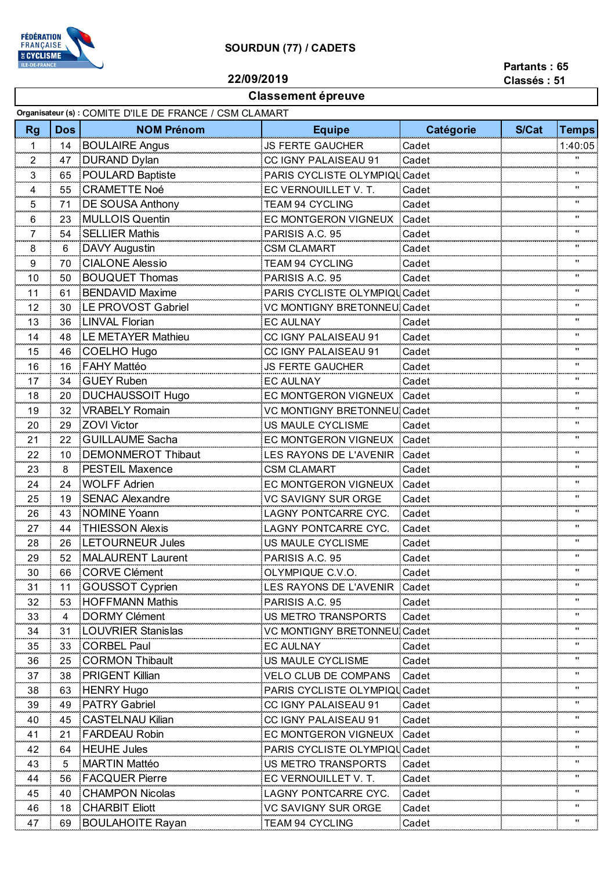

## **SOURDUN (77) / CADETS**

**22/09/2019**

## **Partants : 65 Classés : 51**

**Classement épreuve**

| Organisateur (s) : COMITE D'ILE DE FRANCE / CSM CLAMART |            |                           |                                      |                |       |                                      |
|---------------------------------------------------------|------------|---------------------------|--------------------------------------|----------------|-------|--------------------------------------|
| Rg                                                      | <b>Dos</b> | <b>NOM Prénom</b>         | <b>Equipe</b>                        | Catégorie      | S/Cat | <b>Temps</b>                         |
| $\mathbf{1}$                                            | 14         | <b>BOULAIRE Angus</b>     | <b>JS FERTE GAUCHER</b>              | Cadet          |       | 1:40:05                              |
| 2<br>ومحدده                                             | 47         | <b>DURAND Dylan</b>       | <b>CC IGNY PALAISEAU 91</b><br>Cadet |                |       |                                      |
| 3                                                       | 65         | <b>POULARD Baptiste</b>   | PARIS CYCLISTE OLYMPIQU Cadet        |                |       | مستع<br>$^{\rm{II}}$                 |
| 4                                                       | 55         | <b>CRAMETTE Noé</b>       | EC VERNOUILLET V. T.                 | Cadet          |       | $\pmb{\mathsf{H}}$                   |
| 5                                                       | 71         | <b>DE SOUSA Anthony</b>   | <b>TEAM 94 CYCLING</b><br>Cadet      |                |       | $^{\rm{II}}$                         |
| 6                                                       | 23         | <b>MULLOIS Quentin</b>    | EC MONTGERON VIGNEUX                 | Cadet          |       | <b>Lease</b><br>$\pmb{\mathsf{H}}$   |
| 7                                                       | 54         | <b>SELLIER Mathis</b>     | PARISIS A.C. 95                      | Cadet          |       | $\pmb{\mathsf{H}}$                   |
| 8                                                       | 6          | DAVY Augustin             | <b>CSM CLAMART</b><br>Cadet          |                |       | π                                    |
| 9                                                       | 70         | <b>CIALONE Alessio</b>    | TEAM 94 CYCLING<br>Cadet             |                |       | $\pmb{\mathsf{H}}$                   |
| 10                                                      | 50         | <b>BOUQUET Thomas</b>     | PARISIS A.C. 95<br>Cadet             |                |       | .<br>π                               |
| 11                                                      | 61         | <b>BENDAVID Maxime</b>    | PARIS CYCLISTE OLYMPIQU Cadet        |                |       | $\pmb{\mathsf{H}}$                   |
| 12                                                      | 30         | LE PROVOST Gabriel        | <b>VC MONTIGNY BRETONNEU Cadet</b>   |                |       | <b>Service</b><br>$\pmb{\mathsf{H}}$ |
| 13                                                      | 36         | <b>LINVAL Florian</b>     | <b>EC AULNAY</b>                     | Cadet          |       | $^{\rm{II}}$                         |
| 14                                                      | 48         | <b>LE METAYER Mathieu</b> | CC IGNY PALAISEAU 91                 | Cadet          |       | <br>$\pmb{\mathsf{H}}$               |
| 15                                                      | 46         | COELHO Hugo               | CC IGNY PALAISEAU 91                 | Cadet          |       | $\pmb{\mathsf{H}}$                   |
| 16                                                      | 16         | <b>FAHY Mattéo</b>        | JS FERTE GAUCHER                     | Cadet          |       | ш                                    |
| 17                                                      | 34         | <b>GUEY Ruben</b>         | <b>EC AULNAY</b>                     | Cadet          |       | $\pmb{\mathsf{H}}$                   |
| 18                                                      | 20         | <b>DUCHAUSSOIT Hugo</b>   | EC MONTGERON VIGNEUX                 | Cadet          |       | معدده<br>π                           |
| 19                                                      | 32         | <b>VRABELY Romain</b>     | <b>VC MONTIGNY BRETONNEU Cadet</b>   |                |       | $\pmb{\mathsf{H}}$                   |
| 20                                                      | 29         | <b>ZOVI Victor</b>        | US MAULE CYCLISME                    | Cadet          |       | $\pmb{\mathsf{H}}$                   |
| 21                                                      | 22         | <b>GUILLAUME Sacha</b>    | EC MONTGERON VIGNEUX                 | Cadet          |       | $\pmb{\mathsf{H}}$                   |
| 22                                                      | 10         | <b>DEMONMEROT Thibaut</b> | LES RAYONS DE L'AVENIR Cadet         |                |       | $\pmb{\mathsf{H}}$                   |
| 23                                                      | 8          | <b>PESTEIL Maxence</b>    | <b>CSM CLAMART</b>                   | Cadet          |       | $\pmb{\mathsf{H}}$                   |
| 24                                                      | 24         | <b>WOLFF Adrien</b>       | EC MONTGERON VIGNEUX                 | Cadet          |       | $\pmb{\mathsf{H}}$                   |
| 25                                                      | 19         | <b>SENAC Alexandre</b>    | <b>VC SAVIGNY SUR ORGE</b>           | Cadet          |       | $\pmb{\mathsf{H}}$                   |
| 26                                                      | 43         | <b>NOMINE Yoann</b>       | <b>LAGNY PONTCARRE CYC.</b>          | Cadet          |       | π                                    |
| 27                                                      | 44         | <b>THIESSON Alexis</b>    | LAGNY PONTCARRE CYC.<br>Cadet        |                |       | $\pmb{\mathsf{H}}$                   |
| 28                                                      | 26         | <b>LETOURNEUR Jules</b>   | US MAULE CYCLISME                    | Cadet          |       | "                                    |
| 29                                                      | 52         | <b>MALAURENT Laurent</b>  | PARISIS A.C. 95                      | Cadet          |       |                                      |
| 30                                                      | 66         | <b>CORVE Clément</b>      | OLYMPIQUE C.V.O.                     | Cadet          |       | $\pmb{\mathsf{H}}$                   |
| 31                                                      | 11         | <b>GOUSSOT Cyprien</b>    | LES RAYONS DE L'AVENIR               | Cadet          |       | "                                    |
| 32                                                      | 53         | <b>HOFFMANN Mathis</b>    | PARISIS A.C. 95                      |                |       | π                                    |
| 33                                                      | 4          | <b>DORMY Clément</b>      | US METRO TRANSPORTS                  | Cadet<br>Cadet |       | п                                    |
|                                                         |            | <b>LOUVRIER Stanislas</b> | <b>VC MONTIGNY BRETONNEU Cadet</b>   |                |       | "                                    |
| 34                                                      | 31<br>33   | <b>CORBEL Paul</b>        | <b>EC AULNAY</b>                     | Cadet          |       |                                      |
| 35                                                      |            | <b>CORMON Thibault</b>    |                                      |                |       | "                                    |
| 36                                                      | 25         |                           | US MAULE CYCLISME                    | Cadet          |       |                                      |
| 37                                                      | 38         | PRIGENT Killian           | <b>VELO CLUB DE COMPANS</b>          | Cadet          |       | $\pmb{\mathsf{H}}$                   |
| 38                                                      | 63         | <b>HENRY Hugo</b>         | PARIS CYCLISTE OLYMPIQU Cadet        |                |       | $\pmb{\mathsf{H}}$                   |
| 39                                                      | 49         | <b>PATRY Gabriel</b>      | <b>CC IGNY PALAISEAU 91</b>          | Cadet          |       | п                                    |
| 40                                                      | 45         | <b>CASTELNAU Kilian</b>   | <b>CC IGNY PALAISEAU 91</b>          | Cadet          |       | п                                    |
| 41                                                      | 21         | <b>FARDEAU Robin</b>      | EC MONTGERON VIGNEUX Cadet           |                |       | "                                    |
| 42                                                      | 64         | <b>HEUHE Jules</b>        | PARIS CYCLISTE OLYMPIQU Cadet        |                |       |                                      |
| 43                                                      | 5          | <b>MARTIN Mattéo</b>      | US METRO TRANSPORTS                  | Cadet          |       | "                                    |
| 44                                                      | 56         | <b>FACQUER Pierre</b>     | EC VERNOUILLET V. T.                 | Cadet          |       |                                      |
| 45                                                      | 40         | <b>CHAMPON Nicolas</b>    | LAGNY PONTCARRE CYC.                 | Cadet          |       | π                                    |
| 46                                                      | 18         | <b>CHARBIT Eliott</b>     | <b>VC SAVIGNY SUR ORGE</b>           | Cadet          |       | $\pmb{\mathsf{H}}$                   |
| 47                                                      | 69         | <b>BOULAHOITE Rayan</b>   | <b>TEAM 94 CYCLING</b>               | Cadet          |       |                                      |